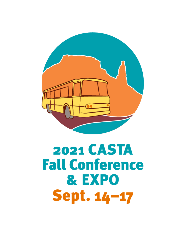

# 2021 CASTA **Fall Conference** & EXPO **Sept. 14-17**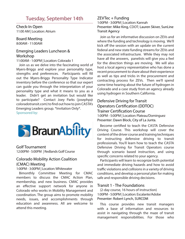## Tuesday, September 14th

Check-In Open 11:00 AM | Location: Atrium

#### Board Meeting 8:00AM - 11:00AM

#### Emerging Leaders Luncheon & Workshop

11:00AM - 1:00PM | Location: Colorado 1

Join us as we delve into the fascinating world of Myers-Briggs and explore your personality type, strengths and preferences. Participants will fill out the Myers-Briggs Personality Type Indicator inventory before the conference so that our expert can guide you through the interpretation of your personality type and what it means to you as a leader. Didn't get an invitation but would like to participate? Contact Joey Parks (josephp@ coloradotransit.com) to find out how to join CASTA's Emerging Leaders group. \*Invitation Only\*.

Sponsored by:



Golf Tournament 12:00PM - 5:00PM | Redlands Golf Course

#### Colorado Mobility Action Coalition (CMAC) Meeting

#### 1:00PM - 3:00PM | Location: Whitewater

Bimonthly Committee Meeting for CMAC members to discuss the CMAC Action Plan, membership, and new business. CMAC provides an effective support network for anyone in Colorado who works in Mobility Management and coordination. The group aims to promote mobility needs, issues, and accomplishments through education and awareness. All are welcome to attend this meeting.

#### ZEVTec + Funding

1:00PM - 3:00PM | Location: Kannah Presenter: Mike King, CDOT; Lauren Skiver, SunLine Transit Agency

Join us for an informative discussion on ZEVs and where the funding and technology is moving. We'll kick off the session with an update on the current federal and new state funding streams for ZEVs and the associated infrastructure. While they may not have all the answers, panelists will give you a feel for the direction things are moving. We will also host a local agency representative who has done a recent procurement to share about their experience as well as tips and tricks in the procurement and contracting process for ZEVs. Then we'll spend some time hearing about the future of hydrogen in Colorado and a case study from an agency already using hydrogen in Southern California.

#### Defensive Driving for Transit Operators Certification (DDTOC) Trainer Certification Course 1:00PM - 5:00PM | Location: Plateau/Dominguez Presenter: Dawn Block, City of La Junta.

Become certified to teach the CASTA Defensive Driving Course. This workshop will cover the content of the driver course and training techniques for instructing defensive driving to transit professionals. You'll learn how to teach the CASTA Defensive Driving for Transit Operators course through scenario based instruction, and using specific concerns related to your agency.

Participants will learn to recognize both potential and immediate driving hazards and how to avoid traffic violations and collisions in a variety of driving conditions, and develop a personal plan for making safe and responsible driving decisions.

#### Transit 1 - The Foundations

(2-day course, 16 hours of instruction) 1:00PM - 5:00PM | Location: Escalante/Adobe Presenter: Robert Lynch, SURCOM

This course provides new transit managers with a base of information and resources to assist in navigating through the maze of transit management responsibilities. For those who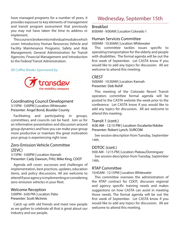have managed programs for a number of years, it provides exposure to key elements of management and transit program assessment that previously you may not have taken the time to address or implement.

This course is broken into individual modules which cover: Introductory Human Resources; Vehicle and Facility Maintenance Programs; Safety and Risk Management; General Administration for Transit Agencies; Financial Management and Introduction to the Federal Transit Administration.

#### All Coffee Breaks Sponsored by:



#### Coordinating Council Development 3:15PM - 5:00PM | Location: Whitewater Presenter: Angel Bond, Boulder County

Facilitating and participating in groups,

committees, and councils can be hard. Join us for an informative presentation and discussion around group dynamics and how you can make your group more productive or maintain the great motivation your group is experiencing right now.

#### Zero-Emission Vehicle Committee (ZEVC)

3:15PM - 5:00PM | Location: Kannah Presenter: Cady Dawson, FHU; Mike King, CDOT

Agenda will cover: successes and challenges of implementation, best practices, updates, education items, and policy discussions. All are welcome to attend if your agency is implementing or considering zero-emission vehicles in your fleet.

#### Welcome Reception

5:00PM - 6:00 PM | Location: Patio Presenter: Scott McInnis

Catch up with old friends and meet new people as we gather to celebrate all that is great about our industry and our people.

## Wednesday, September 15th

#### **Breakfast**

8:00AM - 9:00AM | Location Colorado 1

#### Human Services Committee

9:00AM - 10:30AM | Location: Whitewater

This committee tackles issues specific to operating transportation for the elderly and people with disabilities. The formal agenda will be out the first week of September. Let CASTA know if you would like to add any topics for discussion. All are welcome to attend this meeting.

#### CREST

9:00AM - 10:30AM | Location: Kannah Presenter: Deb Rohlf

This meeting of the Colorado Resort Transit operators committee formal agenda will be posted to the CASTA website the week prior to the conference. Let CASTA know if you would like to add any topics for discussion. All are welcome to attend this meeting.

#### Transit 1 (cont.)

9:00 AM - 12:15 PM | Location: Escalante/Adobe Presenter: Robert Lynch, SURCOM

See session description from Tuesday, September 14th.

#### DDTOC (cont.)

9:00 AM - 12:15 PM | Location: Plateau/Dominguez See session description from Tuesday, September 14th.

#### RTAP Committee

10:45AM - 12:15PM | Location: Whitewater

This committee oversees the administration of the RTAP contract for CDOT, discusses regional and agency specific training needs and makes suggestions on how CASTA can assist in meeting those needs. The formal agenda will be out the first week of September. Let CASTA know if you would like to add any topics for discussion. All are welcome to attend this meeting.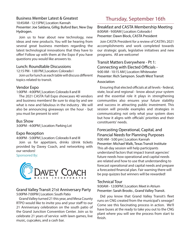#### Business Member Latest & Greatest

10:45AM - 12:15PM | Location: Kannah Presenter: Joe Saldana, Gillig; Buford Barr, New Day Hydrogen.

Join us to hear about new technology, new ideas and new products. You will be hearing from several great business members regarding the latest technological innovations that they have to offer! Follow up with them at the Expo if you have questions you would like answers to.

#### Lunch: Roundtable Discussions

12:15 PM - 1:00 PM | Location: Colorado I

Join us for lunch as each table will discuss different topics related to transit.

#### Vendor Expo

1:00PM - 4:00PM | Location: Colorado II and III

The 2021 CASTA Fall Expo showcases 40 vendors and business members! Be sure to stop by and see what is new and fabulous in the industry . We will also be announcing giveaways on the hour - but you must be present to win!

Bus Show 3:00PM - 4:00PM | Location: Parking Lot

#### Expo Reception

#### 4:00PM - 5:00PM | Location: Colorado II and III

Join us for appetizers, drinks (drink tickets provided by Davey Coach, and networking with our vendors!

Sponsored By:



#### Grand Valley Transit 21st Anniversary Party 5:00PM-7:00PM | Location: South Patio

Grand Valley turned 21 this year, and Mesa County RTPO would like to invite you and your staff to our 21 Anniversary celebration on the south patio of the Grand Junction Convention Center. Join us to celebrate 21 years of service with lawn games, live music, cupcakes, and a cash bar.

## Thursday, September 16th

Breakfast and CASTA Membership Meeting 8:00AM - 9:00AM | Location: Colorado I Presenter: Dawn Block, CASTA President

Join CASTA President for a review of CASTA's 2021 accomplishments and work completed towards our strategic goals, legislative initiatives and new programs. All are welcome!

#### Transit Matters Everywhere - Pt 1: Connecting with Elected Officials - 9:00 AM - 10:15 AM | Location: Whitewater Presenter: Rich Sampson. South West Transit

#### Association

Ensuring that elected officials at all levels - federal, state, local and regional - know about your system and the essential role it plays in strengthening communities also ensures your future stability and success in attracting public investment. This session will provide examples and strategies in communicating not only what your system does but how it aligns with officials' priorities and their constituents' needs.

#### Forecasting Operational, Capital, and Financial Needs for Planning Purposes 9:00 AM - 5:00 pm | Location: Kannah

Presenter: Michael Walk, Texas Transit Institute This all-day session will help participants understand factors that impact transit agencies' future needs how operational and capital needs are related and how to use that understanding to forecast operational and capital needs and prepare a forecasted financial plan. Fair warning there will be pop quizzes but winners will be rewarded!

#### Technical Tour

9:00AM - 12:00PM | Location: Meet in Atrium Presenter: Sarah Brooks , Grand Valley Transit.

Did you know that Grand Valley Transit's fleet runs on CNG created from the municipal's sewage? Come see this fascinating process in action. We'll have buses at the ready to take you out to the CNG plant where you will see the process from start to finish.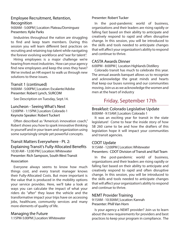### Employee Recruitment, Retention, Recognition

9:00AM - 5:00PM | Location: Plateau/Dominguez Presenters: Kylie Parks

Iindustries throughout the nation are struggling to find and keep team members. During this session you will learn different best practices on recruiting and retaining top talent while navigating the forever evolving workforce and "war for talent".

Hiring employees is a major challenge we're hearing from most industries. How can your agency find new employees and keep the ones they have? We've invited an HR expert to walk us through new solutions to these issues.

#### Transit 1 (continued)

9:00AM - 5:00PM | Location: Escalante/Adobe Presenter: Robert Lynch, SURCOM

See Description on Tuesday, Sept.14.

#### Luncheon - Seeing What's Next

12:00PM - 1:15PM | Location: Colorado 1 Keynote Speaker: Robert Tuckert

Often described as "America's innovation coach," Robert shows you how to spark innovative thinking in yourself and in your team and organization using some surprisingly simple yet powerful concepts.

#### Transit Matters Everywhere - Pt. 2: Explaining Transit's Fully-Allocated Benefits 10:30 AM - 12:00 PM | Location: Whitewater Presenter: Rich Sampson, South West Transit

#### Association

Everyone always seems to know how much things cost, and every transit manager knows their Fully-Allocated Costs. But more important is the value that is produced in the mobility options your service provides. Here, we'll take a look at ways you can calculate the impact of what your riders do "after" they leave the vehicle and the transformative impact your trips have on accessing jobs, healthcare, community services and many more elements of quality of life.

#### Managing the Future

1:15PM-5:00PM | Location: Whitewater

#### Presenter: Robert Tucker

In the post-pandemic world of business, organizations and their leaders are rising rapidly or falling fast based on their ability to anticipate and creatively respond to rapid and often disruptive change. In this session, you will be introduced to the skills and tools needed to anticipate changes that will affect your organization's ability to respond and continue to thrive.

#### CASTA Awards Dinner

6:00PM - 8:00PM | Location Highlands Distillery

Colorado transit has much to celebrate this year. The annual awards banquet allows us to recognize and acknowledge the great minds and hearts that keep our buses running and our communities moving. Join us as we acknowledge the women and men at the heart of industry

## Friday, September 17th

#### Breakfast: Colorado Legislative Update 8:00AM - 9:15AM | Location: Colorado 1

It was an exciting year for transit in the state legislature! Come to hear the inside story of how SB 260 came to be and how the drafters of this legislation hope it will impact your communities and transit agencies.

#### CDOT Update

9:15AM - 12:00PM | Location: Whitewater Presenters: CDOT Division of Transit and Rail Team

In the post-pandemic world of business, organizations and their leaders are rising rapidly or falling fast based on their ability to anticipate and creatively respond to rapid and often disruptive change. In this session, you will be introduced to the skills and tools needed to anticipate changes that will affect your organization's ability to respond and continue to thrive.

#### NEMT Provider Training

9:15AM - 10:30AM | Location: Kannah Presenter: Phill Van Horn

Is your agency a NEMT provider? Join us to learn about the new requirements for providers and best practices to keep your program in compliance. The